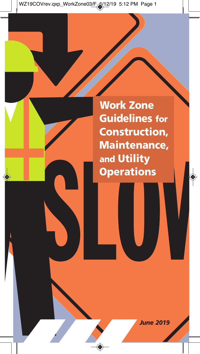**Work Zone Guidelines for Construction, Maintenance, and Utility Operations**

*June 2019*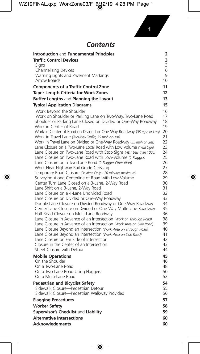**1**

### *Contents*

| Introduction and Fundamental Principles                                                                                                  | 2        |
|------------------------------------------------------------------------------------------------------------------------------------------|----------|
| <b>Traffic Control Devices</b>                                                                                                           | 3        |
| Signs                                                                                                                                    | 3        |
| Channelizing Devices                                                                                                                     | 6        |
| Warning Lights and Pavement Markings                                                                                                     | 9        |
| Arrow Boards                                                                                                                             | 10       |
| <b>Components of a Traffic Control Zone</b>                                                                                              | 11       |
| <b>Taper Length Criteria for Work Zones</b>                                                                                              | 12       |
| Buffer Lengths and Planning the Layout                                                                                                   | 13       |
| <b>Typical Application Diagrams</b>                                                                                                      | 15       |
| Work Beyond the Shoulder                                                                                                                 | 16       |
| Work on Shoulder or Parking Lane on Two-Way, Two-Lane Road                                                                               | 17       |
| Shoulder or Parking Lane Closed on Divided or One-Way Roadway                                                                            | 18       |
| Work in Center of Road                                                                                                                   | 19       |
| Work in Center of Road on Divided or One-Way Roadway (35 mph or Less)                                                                    | 20       |
| Work in Travel Lane (Two-Way Traffic, 35 mph or Less)                                                                                    | 21<br>22 |
| Work in Travel Lane on Divided or One-Way Roadway (35 mph or Less)<br>Lane Closure on a Two-Lane Local Road with Low Volume (Yield Sign) | 23       |
| Lane Closure on Two-Lane Road with Stop Signs (ADT Less than 1000)                                                                       | 24       |
| Lane Closure on Two-Lane Road with Low-Volume (1 Flagger)                                                                                | 25       |
| Lane Closure on a Two-Lane Road (2 Flagger Operation)                                                                                    | 26       |
| Work Near Highway-Rail Grade-Crossing                                                                                                    | 27       |
| Temporary Road Closure (Daytime Only - 20 minutes maximum)                                                                               | 28       |
| Surveying Along Centerline of Road with Low-Volume                                                                                       | 29       |
| Center Turn Lane Closed on a 3-Lane, 2-Way Road                                                                                          | 30<br>31 |
| Lane Shift on a 3-Lane, 2-Way Road<br>Lane Closure on a 4-Lane Undivided Road                                                            | 32       |
| Lane Closure on Divided or One-Way Roadway                                                                                               | 33       |
| Double Lane Closure on Divided Roadway or One-Way Roadway                                                                                | 34       |
| Center Lane Closure on Divided or One-Way Multi-Lane Roadway                                                                             | 35       |
| Half Road Closure on Multi-Lane Roadway                                                                                                  | 36       |
| Lane Closure in Advance of an Intersection (Work on Through Road)                                                                        | 38       |
| Lane Closure in Advance of an Intersection (Work Area on Side Road)                                                                      | 39       |
| Lane Closure Beyond an Intersection (Work Area on Through Road)<br>Lane Closure Beyond an Intersection (Work Area on Side Road)          | 40<br>41 |
| Lane Closure on Far Side of Intersection                                                                                                 | 42       |
| Closure in the Center of an Intersection                                                                                                 | 43       |
| Street Closure with Detour                                                                                                               | 44       |
| <b>Mobile Operations</b>                                                                                                                 | 45       |
| On the Shoulder                                                                                                                          | 46       |
| On a Two-Lane Road                                                                                                                       | 48       |
| On a Two-Lane Road Using Flaggers                                                                                                        | 50       |
| On a Multi-Lane Road                                                                                                                     | 52       |
| <b>Pedestrian and Bicyclist Safety</b>                                                                                                   | 54       |
| Sidewalk Closure-Pedestrian Detour                                                                                                       | 55       |
| Sidewalk Closure-Pedestrian Walkway Provided                                                                                             | 56       |
| <b>Flagging Procedures</b>                                                                                                               | 57       |
| <b>Worker Safety</b>                                                                                                                     | 58       |
| Supervisor's Checklist and Liability                                                                                                     | 59       |
| <b>Alternative Intersections</b>                                                                                                         | 60       |
| <b>Acknowledgments</b>                                                                                                                   | 60       |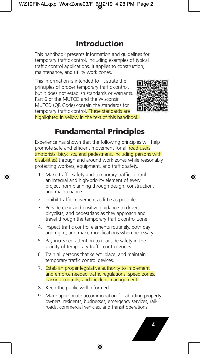# **Introduction**

This handbook presents information and guidelines for temporary traffic control, including examples of typical traffic control applications. It applies to construction, maintenance, and utility work zones.

This information is intended to illustrate the principles of proper temporary traffic control, but it does not establish standards or warrants. Part 6 of the MUTCD and the Wisconsin MUTCD (QR Code) contain the standards for temporary traffic control. These standards are highlighted in yellow in the text of this handbook.



# **Fundamental Principles**

Experience has shown that the following principles will help promote safe and efficient movement for all road users (motorists, bicyclists, and pedestrians, including persons with disabilities) through and around work zones while reasonably protecting workers, equipment, and traffic safety.

- 1. Make traffic safety and temporary traffic control an integral and high-priority element of every project from planning through design, construction, and maintenance.
- 2. Inhibit traffic movement as little as possible.
- 3. Provide clear and positive guidance to drivers, bicyclists, and pedestrians as they approach and travel through the temporary traffic control zone.
- 4. Inspect traffic control elements routinely, both day and night, and make modifications when necessary.
- 5. Pay increased attention to roadside safety in the vicinity of temporary traffic control zones.
- 6. Train all persons that select, place, and maintain temporary traffic control devices.
- 7. Establish proper legislative authority to implement and enforce needed traffic regulations, speed zones, parking controls, and incident management.
- 8. Keep the public well informed.
- 9. Make appropriate accommodation for abutting property owners, residents, businesses, emergency services, railroads, commercial vehicles, and transit operations.

**2**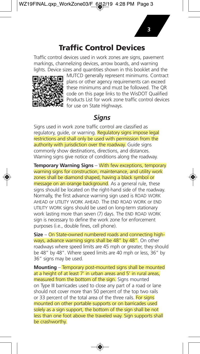# **Traffic Control Devices**

Traffic control devices used in work zones are signs, pavement markings, channelizing devices, arrow boards, and warning lights. Device sizes and quantities shown in this booklet and the



MUTCD generally represent minimums. Contract plans or other agency requirements can exceed these minimums and must be followed. The QR code on this page links to the WisDOT Qualified Products List for work zone traffic control devices for use on State Highways.

## *Signs*

Signs used in work zone traffic control are classified as regulatory, guide, or warning. Regulatory signs impose legal restrictions and shall only be used with permission from the authority with jurisdiction over the roadway. Guide signs commonly show destinations, directions, and distances. Warning signs give notice of conditions along the roadway.

**Temporary Warning Signs** – With few exceptions, temporary warning signs for construction, maintenance, and utility work zones shall be diamond shaped, having a black symbol or message on an orange background. As a general rule, these signs should be located on the right-hand side of the roadway. Normally, the first advance warning sign used is ROAD WORK AHEAD or UTILITY WORK AHEAD. The END ROAD WORK or END UTILITY WORK signs should be used on long-term stationary work lasting more than seven (7) days. The END ROAD WORK sign is necessary to define the work zone for enforcement purposes (i.e., double fines, cell phone).

**Size** – On State-owned numbered roads and connecting highways, advance warning signs shall be 48" by 48". On other roadways where speed limits are 45 mph or greater, they should be 48" by 48". Where speed limits are 40 mph or less, 36" by 36" signs may be used.

**Mounting** – Temporary post-mounted signs shall be mounted at a height of at least 7' in urban areas and 5' in rural areas, measured from the bottom of the sign. Signs mounted on Type III barricades used to close any part of a road or lane should not cover more than 50 percent of the top two rails or 33 percent of the total area of the three rails. For signs mounted on other portable supports or on barricades used solely as a sign support, the bottom of the sign shall be not less than one foot above the traveled way. Sign supports shall be crashworthy.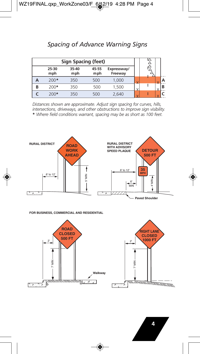### *Spacing of Advance Warning Signs*

| Sign Spacing (feet) |              |              |              |                        |   |  |   |  |
|---------------------|--------------|--------------|--------------|------------------------|---|--|---|--|
|                     | 25-30<br>mph | 35-40<br>mph | 45-55<br>mph | Expressway/<br>Freeway |   |  |   |  |
|                     | $200*$       | 350          | 500          | 1,000                  | ν |  | ٧ |  |
| B                   | $200*$       | 350          | 500          | 1,500                  |   |  | ν |  |
|                     | $200*$       | 350          | 500          | 2,640                  |   |  |   |  |

*Distances shown are approximate. Adjust sign spacing for curves, hills, intersections, driveways, and other obstructions to improve sign visibility.* **\*** *Where field conditions warrant, spacing may be as short as 100 feet.*



**FOR BUSINESS, COMMERCIAL AND RESIDENTIAL**

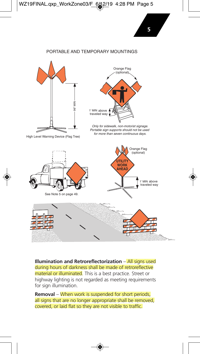#### PORTABLE AND TEMPORARY MOUNTINGS



**Illumination and Retroreflectorization** – All signs used during hours of darkness shall be made of retroreflective material or illuminated. This is a best practice. Street or highway lighting is not regarded as meeting requirements for sign illumination.

**Removal** – When work is suspended for short periods, all signs that are no longer appropriate shall be removed, covered, or laid flat so they are not visible to traffic.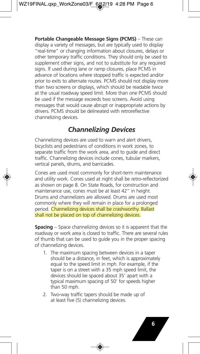**Portable Changeable Message Signs (PCMS)** – These can display a variety of messages, but are typically used to display "real-time" or changing information about closures, delays or other temporary traffic conditions. They should only be used to supplement other signs, and not to substitute for any required signs. If used during lane or ramp closures, place PCMS in advance of locations where stopped traffic is expected and/or prior to exits to alternate routes. PCMS should not display more than two screens or displays, which should be readable twice at the usual roadway speed limit. More than one PCMS should be used if the message exceeds two screens. Avoid using messages that would cause abrupt or inappropriate actions by drivers. PCMS should be delineated with retroreflective channelizing devices.

## *Channelizing Devices*

Channelizing devices are used to warn and alert drivers, bicyclists and pedestrians of conditions in work zones, to separate traffic from the work area, and to guide and direct traffic. Channelizing devices include cones, tubular markers, vertical panels, drums, and barricades.

Cones are used most commonly for short-term maintenance and utility work. Cones used at night shall be retro-reflectorized as shown on page 8. On State Roads, for construction and maintenance use, cones must be at least 42" in height. Drums and channelizers are allowed. Drums are used most commonly where they will remain in place for a prolonged period. Channelizing devices shall be crashworthy. Ballast shall not be placed on top of channelizing devices.

**Spacing** – Space channelizing devices so it is apparent that the roadway or work area is closed to traffic. There are several rules of thumb that can be used to guide you in the proper spacing of channelizing devices.

- 1. The maximum spacing between devices in a taper should be a distance, in feet, which is approximately equal to the speed limit in mph. For example, if the taper is on a street with a 35 mph speed limit, the devices should be spaced about 35' apart with a typical maximum spacing of 50' for speeds higher than 50 mph.
- 2. Two-way traffic tapers should be made up of at least five (5) channelizing devices.

**6**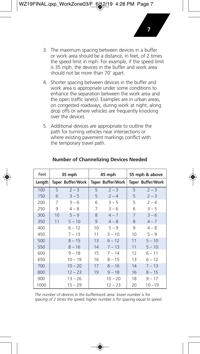3. The maximum spacing between devices in a buffer or work area should be a distance, in feet, of 2 times the speed limit in mph. For example, if the speed limit is 35 mph, the devices in the buffer and work area should not be more than 70' apart.

**7**

- 4. Shorter spacing between devices in the buffer and work area is appropriate under some conditions to enhance the separation between the work area and the open traffic lane(s). Examples are in urban areas, on congested roadways, during work at night, along drop offs or where vehicles are frequently knocking over the devices.
- 5. Additional devices are appropriate to outline the path for turning vehicles near intersections or where existing pavement markings conflict with the temporary travel path.

| Feet   | 35 mph |                   |    | 45 mph            | 55 mph & above |                   |
|--------|--------|-------------------|----|-------------------|----------------|-------------------|
| Length |        | Taper Buffer/Work |    | Taper Buffer/Work |                | Taper Buffer/Work |
| 100    | 5      | $2 - 3$           | 5  | $2 - 3$           | 5              | $2 - 3$           |
| 150    | 6      | $3 - 5$           | 5  | $2 - 4$           | 5              | $2 - 3$           |
| 200    | 7      | $3 - 6$           | 6  | $3 - 5$           | 5              | $2 - 4$           |
| 250    | 9      | $4 - 8$           | 7  | $3 - 6$           | 6              | $3 - 5$           |
| 300    | 10     | $5 - 9$           | 8  | $4 - 7$           | 7              | $3 - 6$           |
| 350    | 11     | $5 - 10$          | 9  | $4 - 8$           | 8              | $4 - 7$           |
| 400    |        | $6 - 12$          | 10 | $5 - 9$           | 9              | $4 - 8$           |
| 450    |        | $7 - 13$          | 11 | $5 - 10$          | 10             | $5 - 9$           |
| 500    |        | $8 - 15$          | 13 | $6 - 12$          | 11             | $5 - 10$          |
| 550    |        | $8 - 16$          | 14 | $7 - 13$          | 11             | $5 - 10$          |
| 600    |        | $9 - 18$          | 15 | $7 - 14$          | 12             | $6 - 11$          |
| 650    |        | $10 - 19$         | 16 | $8 - 15$          | 13             | $6 - 12$          |
| 700    |        | $10 - 20$         | 17 | $8 - 16$          | 14             | $7 - 13$          |
| 800    |        | $12 - 23$         | 19 | $9 - 18$          | 16             | $8 - 15$          |
| 900    |        | $13 - 26$         |    | $10 - 20$         | 18             | $9 - 17$          |
| 1000   |        | $15 - 29$         |    | $12 - 23$         | 20             | $10 - 19$         |

#### **Number of Channelizing Devices Needed**

*The number of devices in the buffer/work area: lower number is for spacing of 2 times the speed; higher number is for spacing equal to speed.*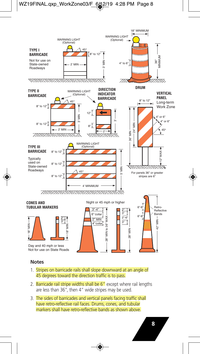

- 1. Stripes on barricade rails shall slope downward at an angle of 45 degrees toward the direction traffic is to pass.
- 2. Barricade rail stripe widths shall be 6" except where rail lengths are less than 36", then 4" wide stripes may be used.
- 3. The sides of barricades and vertical panels facing traffic shall have retro-reflective rail faces. Drums, cones, and tubular markers shall have retro-reflective bands as shown above.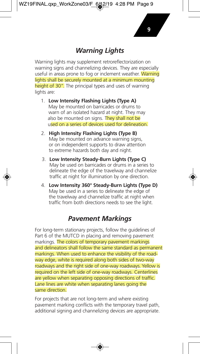### *Warning Lights*

Warning lights may supplement retroreflectorization on warning signs and channelizing devices. They are especially useful in areas prone to fog or inclement weather. Warning lights shall be securely mounted at a minimum mounting height of 30". The principal types and uses of warning lights are:

- 1. **Low Intensity Flashing Lights (Type A)** May be mounted on barricades or drums to warn of an isolated hazard at night. They may also be mounted on signs. They shall not be used on a series of devices used for delineation.
- 2. **High Intensity Flashing Lights (Type B)**  May be mounted on advance warning signs. or on independent supports to draw attention to extreme hazards both day and night.
- 3. **Low Intensity Steady-Burn Lights (Type C)**  May be used on barricades or drums in a series to delineate the edge of the travelway and channelize traffic at night for illumination by one direction.
- 4. **Low Intensity 360° Steady-Burn Lights (Type D)**  May be used in a series to delineate the edge of the travelway and channelize traffic at night when traffic from both directions needs to see the light.

### *Pavement Markings*

For long-term stationary projects, follow the guidelines of Part 6 of the MUTCD in placing and removing pavement markings. The colors of temporary pavement markings and delineators shall follow the same standard as permanent markings. When used to enhance the visibility of the roadway edge, white is required along both sides of two-way roadways and the right side of one-way roadways. Yellow is required on the left side of one-way roadways. Centerlines are yellow when separating opposing directions of traffic. Lane lines are white when separating lanes going the same direction.

For projects that are not long-term and where existing pavement marking conflicts with the temporary travel path, additional signing and channelizing devices are appropriate.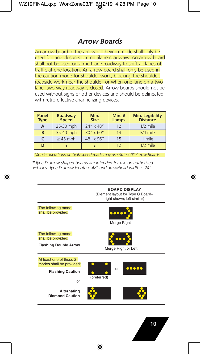### *Arrow Boards*

An arrow board in the arrow or chevron mode shall only be used for lane closures on multilane roadways. An arrow board shall not be used on a multilane roadway to shift all lanes of traffic at one location. An arrow board shall only be used in the caution mode for shoulder work, blocking the shoulder, roadside work near the shoulder, or when one lane on a two lane, two-way roadway is closed. Arrow boards should not be used without signs or other devices and should be delineated with retroreflective channelizing devices.

| Panel<br><b>Type</b> | Roadway<br><b>Speed</b> | Min.<br><b>Size</b> | Min. $#$<br>Lamps | <b>Min. Legibility</b><br><b>Distance</b> |
|----------------------|-------------------------|---------------------|-------------------|-------------------------------------------|
| A                    | 25-30 mph               | 24" x 48"           | 12                | $1/2$ mile                                |
| B                    | 35-40 mph               | $30'' \times 60''$  | 13                | 3/4 mile                                  |
| C                    | $\geq$ 45 mph           | 48" x 96"           | 15                | 1 mile                                    |
| D                    | $\star$                 | $\star$             | 12                | $1/2$ mile                                |

*Mobile operations on high-speed roads may use 30"x 60" Arrow Boards.*

**\****Type D arrow-shaped boards are intended for use on authorized vehicles. Type D arrow length is 48" and arrowhead width is 24".*

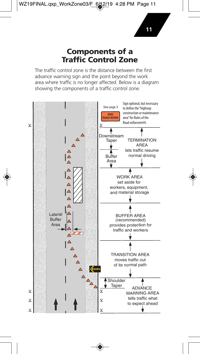### **Components of a Traffic Control Zone**

The traffic control zone is the distance between the first advance warning sign and the point beyond the work area where traffic is no longer affected. Below is a diagram showing the components of a traffic control zone.

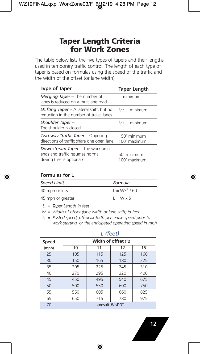# **Taper Length Criteria for Work Zones**

The table below lists the five types of tapers and their lengths used in temporary traffic control. The length of each type of taper is based on formulas using the speed of the traffic and the width of the offset (or lane width).

| <b>Type of Taper</b>                                                                                    | <b>Taper Length</b>         |
|---------------------------------------------------------------------------------------------------------|-----------------------------|
| Merging Taper – The number of<br>lanes is reduced on a multilane road                                   | L minimum                   |
| <b>Shifting Taper</b> – A lateral shift, but no<br>reduction in the number of travel lanes              | $1/2$   minimum             |
| Shoulder Taper-<br>The shoulder is closed                                                               | $1/3$ L minimum             |
| Two-way Traffic Taper – Opposing<br>directions of traffic share one open lane                           | 50' minimum<br>100' maximum |
| <b>Downstream Taper</b> – The work area<br>ends and traffic resumes normal<br>driving (use is optional) | 50' minimum<br>100' maximum |

#### **Formulas for L**

| <b>Speed Limit</b> | Formula          |
|--------------------|------------------|
| 40 mph or less     | $L = WS2 / 60$   |
| 45 mph or greater  | $L = W \times S$ |

 *L = Taper Length in feet*

 *W = Width of offset (lane width or lane shift) in feet*

 *S = Posted speed, off-peak 85th percentile speed prior to work starting, or the anticipated operating speed in mph*

|       | $\cdots$ $\cdots$    |     |     |     |  |  |
|-------|----------------------|-----|-----|-----|--|--|
| Speed | Width of offset (ft) |     |     |     |  |  |
| (mph) | 10                   | 11  | 12  | 15  |  |  |
| 25    | 105                  | 115 | 125 | 160 |  |  |
| 30    | 150                  | 165 | 180 | 225 |  |  |
| 35    | 205                  | 225 | 245 | 310 |  |  |
| 40    | 270                  | 295 | 320 | 400 |  |  |
| 45    | 450                  | 495 | 540 | 675 |  |  |
| 50    | 500                  | 550 | 600 | 750 |  |  |
| 55    | 550                  | 605 | 660 | 825 |  |  |
| 65    | 650                  | 715 | 780 | 975 |  |  |
| 70    | consult WisDOT       |     |     |     |  |  |

#### *L (feet)*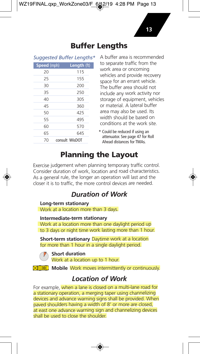### **Buffer Lengths**

| Speed (mph) | Length (ft)    |
|-------------|----------------|
| 20          | 115            |
| 25          | 155            |
| 30          | 200            |
| 35          | 250            |
| 40          | 305            |
| 45          | 360            |
| 50          | 425            |
| 55          | 495            |
| 60          | 570            |
| 65          | 645            |
| 70          | consult WisDOT |

Suggested Buffer Lengths\* A buffer area is recommended to separate traffic from the work area or oncoming vehicles and provide recovery space for an errant vehicle. The buffer area should not include any work activity nor storage of equipment, vehicles or material. A lateral buffer area may also be used. Its width should be based on conditions at the work site.

> *\** Could be reduced if using an attenuator. See page 47 for Roll Ahead distances for TMAs.

# **Planning the Layout**

Exercise judgement when planning temporary traffic control. Consider duration of work, location and road characteristics. As a general rule, the longer an operation will last and the closer it is to traffic, the more control devices are needed.

# *Duration of Work*

#### **Long-term stationary**

Work at a location more than 3 days.

#### **Intermediate-term stationary**

Work at a location more than one daylight period up to 3 days or night time work lasting more than 1 hour.

**Short-term stationary** Daytime work at a location for more than 1 hour in a single daylight period.

**Short duration** Work at a location up to 1 hour.

**Mobile** Work moves intermittently or continuously.

# *Location of Work*

For example, when a lane is closed on a multi-lane road for a stationary operation, a merging taper using channelizing devices and advance warning signs shall be provided. When paved shoulders having a width of 8' or more are closed, at east one advance warning sign and channelizing devices shall be used to close the shoulder.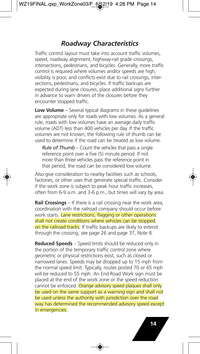### *Roadway Characteristics*

Traffic control layout must take into account traffic volumes, speed, roadway alignment, highway-rail grade crossings, intersections, pedestrians, and bicycles. Generally, more traffic control is required where volumes and/or speeds are high, visibility is poor, and conflicts exist due to rail crossings, intersections, pedestrians, and bicycles. If traffic backups are expected during lane closures, place additional signs further in advance to warn drivers of the closures before they encounter stopped traffic.

**Low Volume** – Several typical diagrams in these guidelines are appropriate only for roads with low volumes. As a general rule, roads with low volumes have an average daily traffic volume (ADT) less than 400 vehicles per day. If the traffic volumes are not known, the following rule of thumb can be used to determine if the road can be treated as low volume.

*Rule of Thumb* – Count the vehicles that pass a single reference point over a five (5) minute period. If not more than three vehicles pass the reference point in that period, the road can be considered low volume.

Also give consideration to nearby facilities such as schools, factories, or other uses that generate special traffic. Consider if the work zone is subject to peak hour traffic increases, often from 6-9 a.m. and 3-6 p.m., but times will vary by area.

**Rail Crossings** – If there is a rail crossing near the work area, coordination with the railroad company should occur before work starts. Lane restrictions, flagging or other operations shall not create conditions where vehicles can be stopped on the railroad tracks. If traffic backups are likely to extend through the crossing, see page 26 and page 37, Note 8.

**Reduced Speeds** – Speed limits should be reduced only in the portion of the temporary traffic control zone where geometric or physical restrictions exist, such as closed or narrowed lanes. Speeds may be dropped up to 15 mph from the normal speed limit. Typically, routes posted 70 or 65 mph will be reduced to 55 mph. An End Road Work sign must be placed at the end of the work zone or the speed reduction cannot be enforced. Orange advisory speed plaques shall only be used on the same support as a warning sign and shall not be used unless the authority with jurisdiction over the road way has determined the recommended advisory speed except in emergencies.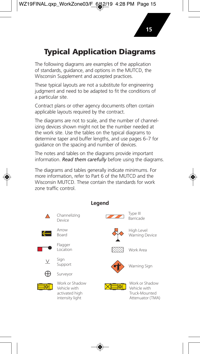# **Typical Application Diagrams**

The following diagrams are examples of the application of standards, guidance, and options in the MUTCD, the Wisconsin Supplement and accepted practices.

These typical layouts are not a substitute for engineering judgment and need to be adapted to fit the conditions of a particular site.

Contract plans or other agency documents often contain applicable layouts required by the contract.

The diagrams are not to scale, and the number of channelizing devices shown might not be the number needed at the work site. Use the tables on the typical diagrams to determine taper and buffer lengths, and use pages 6–7 for guidance on the spacing and number of devices.

The notes and tables on the diagrams provide important information. *Read them carefully* before using the diagrams.

The diagrams and tables generally indicate minimums. For more information, refer to Part 6 of the MUTCD and the Wisconsin MUTCD. These contain the standards for work zone traffic control.



### **Legend**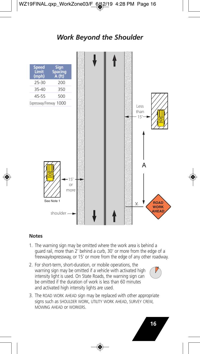# *Work Beyond the Shoulder*



#### **Notes**

- 1. The warning sign may be omitted where the work area is behind a guard rail, more than 2' behind a curb, 30' or more from the edge of a freeway/expressway, or 15' or more from the edge of any other roadway.
- 2. For short-term, short-duration, or mobile operations, the warning sign may be omitted if a vehicle with activated high intensity light is used. On State Roads, the warning sign can be omitted if the duration of work is less than 60 minutes and activated high intensity lights are used.



3. The ROAD WORK AHEAD sign may be replaced with other appropriate signs such as SHOULDER WORK, UTILITY WORK AHEAD, SURVEY CREW, MOWING AHEAD or WORKERS.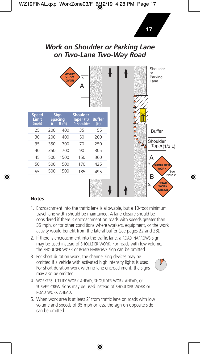### *Work on Shoulder or Parking Lane on Two-Lane Two-Way Road*

**17**



- 1. Encroachment into the traffic lane is allowable, but a 10-foot minimum travel lane width should be maintained. A lane closure should be considered if there is encroachment on roads with speeds greater than 35 mph, or for other conditions where workers, equipment, or the work activity would benefit from the lateral buffer (see pages 22 and 23).
- 2. If there is encroachment into the traffic lane, a ROAD NARROWS sign may be used instead of SHOULDER WORK. For roads with low volume, the SHOULDER WORK or ROAD NARROWS sign can be omitted.
- 3. For short duration work, the channelizing devices may be omitted if a vehicle with activated high intensity lights is used. For short duration work with no lane encroachment, the signs may also be omitted.



- 4. WORKERS, UTILITY WORK AHEAD, SHOULDER WORK AHEAD, or SURVEY CREW signs may be used instead of SHOULDER WORK or ROAD WORK AHEAD.
- 5. When work area is at least 2' from traffic lane on roads with low volume and speeds of 35 mph or less, the sign on opposite side can be omitted.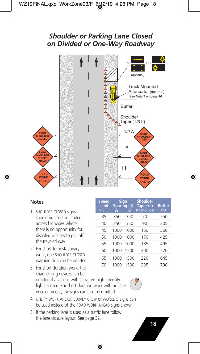### *Shoulder or Parking Lane Closed on Divided or One-Way Roadway*



- 1. SHOULDER CLOSED signs should be used on limitedaccess highways where there is no opportunity for disabled vehicles to pull off the traveled way.
- 2. For short-term stationary work, one SHOULDER CLOSED warning sign can be omitted.
- 3. For short duration work, the channelizing devices can be omitted if a vehicle with activated high intensity lights is used. For short duration work with no lane encroachment, the signs can also be omitted.
- **Speed Sign Shoulder<br>
Limit Spacing** (ft) Taper (ft)<br>
(mph) A B 10' shoulde **Spacing** (ft) **Taper** (ft) **Buffer**<br>**A B** 10' shoulder (ft) **10'** shoulder 35 350 350 70 250 40 350 350 90 305 45 1000 1000 150 360 50 1000 1000 170 425 55 1000 1000 185 495 60 1000 1500 200 570 65 1000 1500 220 645 70 1000 1500 235 730
	-
- 4. UTILITY WORK AHEAD, SURVEY CREW or WORKERS signs can be used instead of the ROAD WORK AHEAD signs shown.
- 5. If the parking lane is used as a traffic lane follow the lane closure layout. See page 32.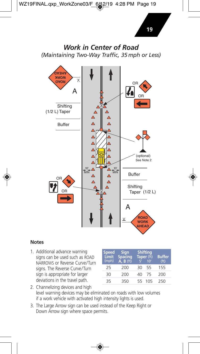### *Work in Center of Road (Maintaining Two-Way Traffic, 35 mph or Less)*



#### **Notes**

1. Additional advance warning signs can be used such as ROAD NARROWS or Reverse Curve/Turn signs. The Reverse Curve/Turn sign is appropriate for larger deviations in the travel path.

| <b>Speed</b><br>Limit<br>(mph) | <b>Sign</b><br><b>Spacing</b><br>$\overline{A}$ , $\overline{B}$ (ft) |    | <b>Shifting</b><br>Taper (ft)<br>10 <sup>′</sup> | <b>Buffer</b><br>(f <sup>†</sup> ) |
|--------------------------------|-----------------------------------------------------------------------|----|--------------------------------------------------|------------------------------------|
| 25                             | 200                                                                   | 30 | 55                                               | 155                                |
| 30                             | 200                                                                   | 40 | 75                                               | 200                                |
| 35                             | 350                                                                   | 55 | 105                                              | 250                                |

- 2. Channelizing devices and high level warning devices may be eliminated on roads with low volumes if a work vehicle with activated high intensity lights is used.
- 3. The Large Arrow sign can be used instead of the Keep Right or Down Arrow sign where space permits.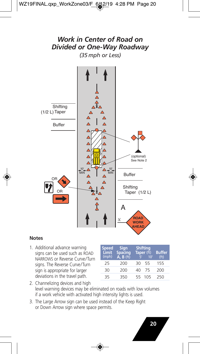

#### **Notes**

1. Additional advance warning signs can be used such as ROAD NARROWS or Reverse Curve/Turn signs. The Reverse Curve/Turn sign is appropriate for larger deviations in the travel path.

| <b>Speed</b><br>Limit<br>(mph) | <b>Sign</b><br>Spacing<br>$\overrightarrow{A}$ . B (ft) |    | <b>Shifting</b><br>Taper (ft)<br>10' | <b>Buffer</b><br>(f <sup>t</sup> ) |
|--------------------------------|---------------------------------------------------------|----|--------------------------------------|------------------------------------|
| 25                             | 200                                                     | 30 | 55                                   | 155                                |
| 30                             | 200                                                     | 40 | 75                                   | 200                                |
| 35                             | 350                                                     | 55 | 105                                  | 250                                |

- 2. Channelizing devices and high level warning devices may be eliminated on roads with low volumes if a work vehicle with activated high intensity lights is used.
- 3. The Large Arrow sign can be used instead of the Keep Right or Down Arrow sign where space permits.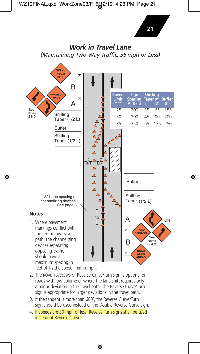

feet of  $1/2$  the speed limit in mph.

- 2. The ROAD NARROWS or Reverse Curve/Turn sign is optional on roads with low volume or where the lane shift requires only a minor deviation in the travel path. The Reverse Curve/Turn sign is appropriate for larger deviations in the travel path.
- 3. If the tangent is more than 600', the Reverse Curve/Turn sign should be used instead of the Double Reverse Curve sign.
- 4. If speeds are 30 mph or less, Reverse Turn signs shall be used instead of Reverse Curve.

**21**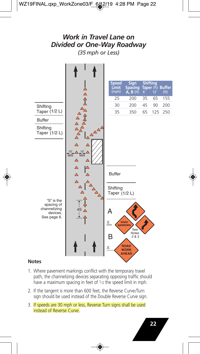### *Work in Travel Lane on Divided or One-Way Roadway (35 mph or Less)*



- 1. Where pavement markings conflict with the temporary travel path, the channelizing devices separating opposing traffic should have a maximum spacing in feet of 1/2 the speed limit in mph.
- 2. If the tangent is more than 600 feet, the Reverse Curve/Turn sign should be used instead of the Double Reverse Curve sign.
- 3. If speeds are 30 mph or less, Reverse Turn signs shall be used instead of Reverse Curve.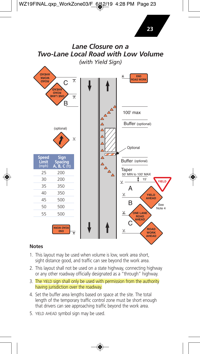

**23**

- 1. This layout may be used when volume is low, work area short, sight distance good, and traffic can see beyond the work area.
- 2. This layout shall not be used on a state highway, connecting highway or any other roadway officially designated as a "through" highway.
- 3. The YIELD sign shall only be used with permission from the authority having jurisdiction over the roadway.
- 4. Set the buffer area lengths based on space at the site. The total length of the temporary traffic control zone must be short enough that drivers can see approaching traffic beyond the work area.
- 5. YIELD AHEAD symbol sign may be used.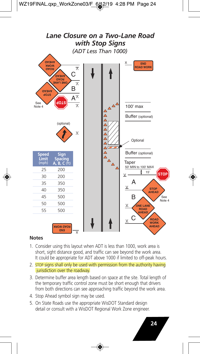

- 1. Consider using this layout when ADT is less than 1000, work area is short, sight distance good, and traffic can see beyond the work area. It could be appropriate for ADT above 1000 if limited to off-peak hours.
- 2. STOP signs shall only be used with permission from the authority having jurisdiction over the roadway.
- 3. Determine buffer area length based on space at the site. Total length of the temporary traffic control zone must be short enough that drivers from both directions can see approaching traffic beyond the work area.
- 4. Stop Ahead symbol sign may be used.
- 5. On State Roads use the appropriate WisDOT Standard design detail or consult with a WisDOT Regional Work Zone engineer.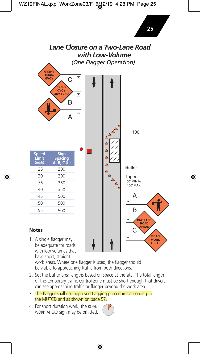

work areas. Where one flagger is used, the flagger should be visible to approaching traffic from both directions.

- 2. Set the buffer area lengths based on space at the site. The total length of the temporary traffic control zone must be short enough that drivers can see approaching traffic or flagger beyond the work area.
- 3. The flagger shall use approved flagging procedures according to the MUTCD and as shown on page 57.
- 4. For short duration work, the ROAD WORK AHEAD sign may be omitted.

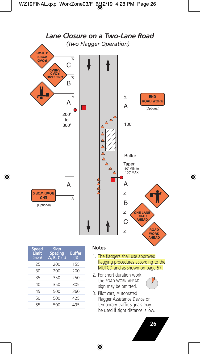

| Sign<br><b>Spacing</b><br>A, B, C (ft) | <b>Buffer</b><br>(f <sup>t</sup> ) |
|----------------------------------------|------------------------------------|
| 200                                    | 155                                |
| 200                                    | 200                                |
| 350                                    | 250                                |
| 350                                    | 305                                |
| 500                                    | 360                                |
| 500                                    | 425                                |
| 500                                    | 495                                |
|                                        |                                    |

#### **Notes**

- 1. The flaggers shall use approved flagging procedures according to the MUTCD and as shown on page 57.
- 2. For short duration work, the ROAD WORK AHEAD sign may be omitted.



3. Pilot cars, Automated Flagger Assistance Device or temporary traffic signals may be used if sight distance is low.

**26**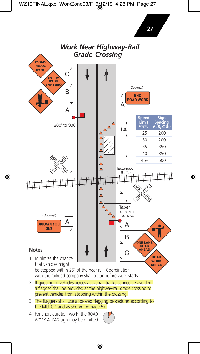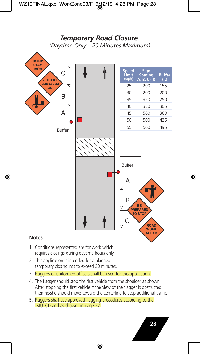### *Temporary Road Closure (Daytime Only – 20 Minutes Maximum)*



- 1. Conditions represented are for work which requires closings during daytime hours only.
- 2. This application is intended for a planned temporary closing not to exceed 20 minutes.
- 3. Flaggers or uniformed officers shall be used for this application.
- 4. The flagger should stop the first vehicle from the shoulder as shown. After stopping the first vehicle if the view of the flagger is obstructed, then he/she should move toward the centerline to stop additional traffic.
- 5. Flaggers shall use approved flagging procedures according to the MUTCD and as shown on page 57.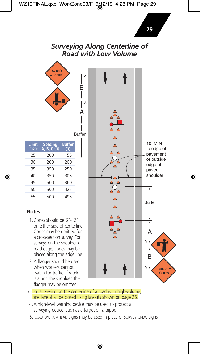### *Surveying Along Centerline of Road with Low Volume*



3. For surveying on the centerline of a road with high-volume, one lane shall be closed using layouts shown on page 26.

watch for traffic. If work is along the shoulder, the flagger may be omitted.

- 4. A high-level warning device may be used to protect a surveying device, such as a target on a tripod.
- 5. ROAD WORK AHEAD signs may be used in place of SURVEY CREW signs.

**CREW**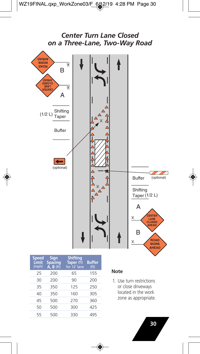

| Speed<br>Limit<br>(mph) | <b>Sign</b><br><b>Spacing</b><br>$A, B$ (ft) | <b>Shifting</b><br>Taper (ft)<br>for 12' lane | <b>Buffer</b><br>(f <sup>t</sup> ) |
|-------------------------|----------------------------------------------|-----------------------------------------------|------------------------------------|
| 25                      | 200                                          | 65                                            | 155                                |
| 30                      | 200                                          | 90                                            | 200                                |
| 35                      | 350                                          | 125                                           | 250                                |
| 40                      | 350                                          | 160                                           | 305                                |
| 45                      | 500                                          | 270                                           | 360                                |
| 50                      | 500                                          | 300                                           | 425                                |
| 55                      | 500                                          | 330                                           | 495                                |

#### **Note**

1. Use turn restrictions or close driveways located in the work zone as appropriate.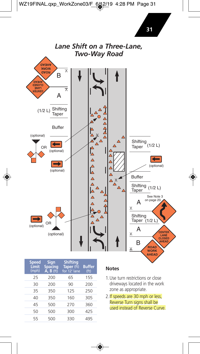

| Speed<br>Limit<br>(mph) | Sign<br><b>Spacing</b><br>$A, B$ (ft) | <b>Shifting</b><br>Taper (ft)<br>for 12' lane | <b>Buffer</b><br>(f <sup>t</sup> ) |
|-------------------------|---------------------------------------|-----------------------------------------------|------------------------------------|
| 25                      | 200                                   | 65                                            | 155                                |
| 30                      | 200                                   | 90                                            | 200                                |
| 35                      | 350                                   | 125                                           | 250                                |
| 40                      | 350                                   | 160                                           | 305                                |
| 45                      | 500                                   | 270                                           | 360                                |
| 50                      | 500                                   | 300                                           | 425                                |
| 55                      | 500                                   | 330                                           | 495                                |

- 1.Use turn restrictions or close driveways located in the work zone as appropriate.
- 2.If speeds are 30 mph or less, Reverse Turn signs shall be used instead of Reverse Curve.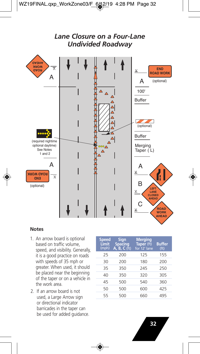

- 1. An arrow board is optional based on traffic volume, speed, and visibility. Generally, it is a good practice on roads with speeds of 35 mph or greater. When used, it should be placed near the beginning of the taper or on a vehicle in the work area.
- 2. If an arrow board is not used, a Large Arrow sign or directional indicator barricades in the taper can be used for added guidance.

| <b>Speed</b><br>Limit<br>(mph) | <b>Sign</b><br><b>Spacing</b><br>$A, B, C$ (ft) | <b>Merging</b><br>Taper (ft)<br>for 12' lane | <b>Buffer</b><br>(f <sup>t</sup> ) |
|--------------------------------|-------------------------------------------------|----------------------------------------------|------------------------------------|
| 25                             | 200                                             | 125                                          | 155                                |
| 30                             | 200                                             | 180                                          | 200                                |
| 35                             | 350                                             | 245                                          | 250                                |
| 40                             | 350                                             | 320                                          | 305                                |
| 45                             | 500                                             | 540                                          | 360                                |
| 50                             | 500                                             | 600                                          | 425                                |
| 55                             | 500                                             | 660                                          | 495                                |
|                                |                                                 |                                              |                                    |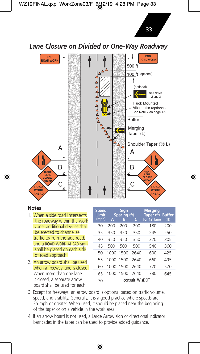**33**

*Lane Closure on Divided or One-Way Roadway*



- 1. When a side road intersects the roadway within the work zone, additional devices shall be erected to channelize traffic to/from the side road, and a ROAD WORK AHEAD sign shall be placed on each side of road approach.
- 2. An arrow board shall be used when a freeway lane is closed. When more than one lane is closed, a separate arrow board shall be used for each.

| Speed<br>Limit<br>(mph) | А         | Sign<br>Spacing (ft)<br>B | с              | <b>Merging</b><br>Taper (ft) Buffer<br>for 12' lane | (f <sub>t</sub> ) |
|-------------------------|-----------|---------------------------|----------------|-----------------------------------------------------|-------------------|
| 30                      | 200       | 200                       | 200            | 180                                                 | 200               |
| 35                      | 350       | 350                       | 350            | 245                                                 | 250               |
| 40                      | 350       | 350                       | 350            | 320                                                 | 305               |
| 45                      | 500       | 500                       | 500            | 540                                                 | 360               |
| 50                      | 1000      | 1500                      | 2640           | 600                                                 | 425               |
| 55                      | 1000 1500 |                           | 2640           | 660                                                 | 495               |
| 60                      | 1000      | 1500                      | 2640           | 720                                                 | 570               |
| 65                      | 1000      | 1500                      | 2640           | 780                                                 | 645               |
| 70                      |           |                           | consult WisDOT |                                                     |                   |

- 3. Except for freeways, an arrow board is optional based on traffic volume, speed, and visibility. Generally, it is a good practice where speeds are 35 mph or greater. When used, it should be placed near the beginning of the taper or on a vehicle in the work area.
- 4. If an arrow board is not used, a Large Arrow sign or directional indicator barricades in the taper can be used to provide added guidance.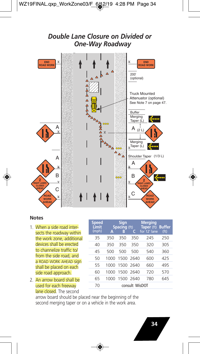#### *Double Lane Closure on Divided or One-Way Roadway* **END ROAD WORK END ROAD WORK** 200' (optional) Truck Mounted Attenuator (optional) See Note 7 on page 47. Buffer Merging  $\overline{A}$   $\overline{A}$   $\overline{A}$   $\overline{A}$ Taper (L) Î A  $_{(2)}$  L  $\begin{array}{c}\n\Delta_{\Delta_{\Delta_{\alpha_{\alpha_{\alpha}}}}} \\
\vdots\n\end{array}$ Merging <sub>v</sub>Taper (Ľ) Shoulder Taper (1/3 L) A A  $\overline{\mathbf{y}}$  $\overline{\mathbf{v}}$ B B ooo **2 2**  $\vee$  $\overline{\mathbf{x}}$ **RIGHT LANES RIGHT LANES CLOSED CLOSED** C **AHEAD AHEAD**  $\sum_{\underline{v}}$  C **ROAD**  $\overline{\mathbf{y}}$ **ROAD WORK WORK AHEAD AHEAD**

#### **Notes**

- 1. When a side road intersects the roadway within the work zone, additional devices shall be erected to channelize traffic to/ from the side road, and a ROAD WORK AHEAD sign shall be placed on each side road approach.
- 2. An arrow board shall be used for each freeway lane closed. The second

| <b>Speed</b><br>Limit<br>(mph) | A    | <b>Sign</b><br><b>Spacing (ft)</b><br>В | C              | <b>Merging</b><br>Taper (ft) Buffer<br>for 12' lane | (f <sup>t</sup> ) |
|--------------------------------|------|-----------------------------------------|----------------|-----------------------------------------------------|-------------------|
| 35                             | 350  | 350                                     | 350            | 245                                                 | 250               |
| 40                             | 350  | 350                                     | 350            | 320                                                 | 305               |
| 45                             | 500  | 500                                     | 500            | 540                                                 | 360               |
| 50                             | 1000 | 1500 2640                               |                | 600                                                 | 425               |
| 55                             | 1000 | 1500 2640                               |                | 660                                                 | 495               |
| 60                             | 1000 | 1500 2640                               |                | 720                                                 | 570               |
| 65                             | 1000 | 1500 2640                               |                | 780                                                 | 645               |
| 70                             |      |                                         | consult WisDOT |                                                     |                   |

arrow board should be placed near the beginning of the second merging taper or on a vehicle in the work area.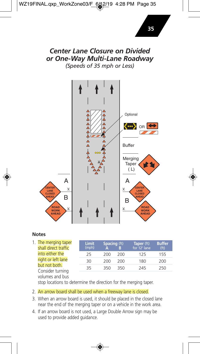### *Center Lane Closure on Divided or One-Way Multi-Lane Roadway (Speeds of 35 mph or Less)*

**Optional** OR<sup>1</sup> ←←△△ Buffer Merging Taper  $(L)$ A | A **CENTER CENTE**  $\overline{\mathbf{y}}$  $\underline{\mathsf{v}}$ **LANE LANE CLOSED CLOSE** B | | | | B **AHEAD AHEAD ROAD ROAD WORK**  $\vee$  $\overline{\mathsf{X}}$ **WORK AHEAD AHEAD**

#### **Notes**

1. The merging taper shall direct traffic into either the right or left lane but not both. Consider turning volumes and bus

| Limit<br>(mph) | <b>Spacing</b> (ft) |     | Taper (ft)<br>for 12' lane | <b>Buffer</b><br>(f <sub>t</sub> ) |
|----------------|---------------------|-----|----------------------------|------------------------------------|
| 25             | 200                 | 200 | 125                        | 155                                |
| 30             | 200                 | 200 | 180                        | 200                                |
| 35             | 350                 | 350 | 245                        | 250                                |
|                |                     |     |                            |                                    |

stop locations to determine the direction for the merging taper.

#### 2. An arrow board shall be used when a freeway lane is closed.

- 3. When an arrow board is used, it should be placed in the closed lane near the end of the merging taper or on a vehicle in the work area.
- 4. If an arrow board is not used, a Large Double Arrow sign may be used to provide added guidance.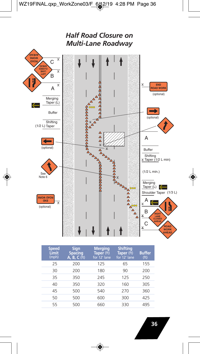

| <b>Speed</b><br>Limit<br>(mph) | <b>Sign</b><br><b>Spacing</b><br>A, B, C (ft) | <b>Merging</b><br>Taper (ft)<br>for 12' lane | <b>Shifting</b><br>Taper (ft)<br>for 12' lane | <b>Buffer</b><br>(f <sup>t</sup> ) |
|--------------------------------|-----------------------------------------------|----------------------------------------------|-----------------------------------------------|------------------------------------|
| 25                             | 200                                           | 125                                          | 65                                            | 155                                |
| 30                             | 200                                           | 180                                          | 90                                            | 200                                |
| 35                             | 350                                           | 245                                          | 125                                           | 250                                |
| 40                             | 350                                           | 320                                          | 160                                           | 305                                |
| 45                             | 500                                           | 540                                          | 270                                           | 360                                |
| 50                             | 500                                           | 600                                          | 300                                           | 425                                |
| 55                             | 500                                           | 660                                          | 330                                           | 495                                |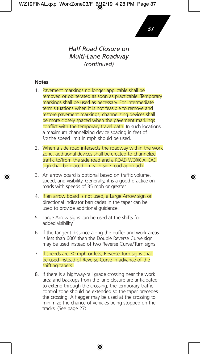### *Half Road Closure on Multi-Lane Roadway (continued)*

- 1. Pavement markings no longer applicable shall be removed or obliterated as soon as practicable. Temporary markings shall be used as necessary. For intermediate term situations when it is not feasible to remove and restore pavement markings, channelizing devices shall be more closely spaced when the pavement markings conflict with the temporary travel path. In such locations a maximum channelizing device spacing in feet of 1/2 the speed limit in mph should be used.
- 2. When a side road intersects the roadway within the work zone, additional devices shall be erected to channelize traffic to/from the side road and a ROAD WORK AHEAD sign shall be placed on each side road approach.
- 3. An arrow board is optional based on traffic volume, speed, and visibility. Generally, it is a good practice on roads with speeds of 35 mph or greater.
- 4. If an arrow board is not used, a Large Arrow sign or directional indicator barricades in the taper can be used to provide additional guidance.
- 5. Large Arrow signs can be used at the shifts for added visibility.
- 6. If the tangent distance along the buffer and work areas is less than 600' then the Double Reverse Curve sign may be used instead of two Reverse Curve/Turn signs.
- 7. If speeds are 30 mph or less, Reverse Turn signs shall be used instead of Reverse Curve in advance of the shifting tapers.
- 8. If there is a highway-rail grade crossing near the work area and backups from the lane closure are anticipated to extend through the crossing, the temporary traffic control zone should be extended so the taper precedes the crossing. A flagger may be used at the crossing to minimize the chance of vehicles being stopped on the tracks. (See page 27).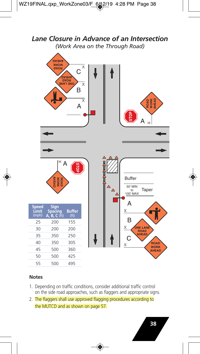*Lane Closure in Advance of an Intersection (Work Area on the Through Road)*

|                         | <b>GA3HA</b><br><b>MORK</b><br><b>GAOR</b> | C<br><b>GA3HA</b><br><b>HOAD</b><br>ONE LANE<br>B<br>A | $\overline{\wedge}$<br>$\overline{\wedge}$<br>$\overline{\wedge}$ |                                 | ROAD<br>WORK<br>AHEAD<br>STOP<br>А<br>$\rightarrow$      |
|-------------------------|--------------------------------------------|--------------------------------------------------------|-------------------------------------------------------------------|---------------------------------|----------------------------------------------------------|
|                         | $\lt$<br>A<br>ROAD<br>WORK<br>AHEAD        |                                                        |                                                                   | $\triangle$<br>$\triangle$<br>Δ | <b>Buffer</b><br>50' MIN<br>Taper<br>to<br>100' MAX<br>A |
| Speed<br>Limit<br>(mph) | Sign<br>Spacing<br>B, C(ft)<br>A.          | <b>Buffer</b><br>(f <sup>t</sup> )                     |                                                                   |                                 | Y                                                        |
| 25                      | 200                                        | 155                                                    |                                                                   |                                 | B                                                        |
| 30                      | 200                                        | 200                                                    |                                                                   |                                 | Y<br>ONE LANE                                            |
| 35                      | 350                                        | 250                                                    |                                                                   |                                 | AHEAD<br>С                                               |
| 40                      | 350                                        | 305                                                    |                                                                   |                                 | <b>ROAD</b><br>Y<br><b>WORK</b>                          |
| 45                      | 500                                        | 360                                                    |                                                                   |                                 | <b>AHEAD</b>                                             |
| 50                      | 500                                        | 425                                                    |                                                                   |                                 |                                                          |
| 55                      | 500                                        | 495                                                    |                                                                   |                                 |                                                          |

- 1. Depending on traffic conditions, consider additional traffic control on the side road approaches, such as flaggers and appropriate signs.
- 2. The flaggers shall use approved flagging procedures according to the MUTCD and as shown on page 57.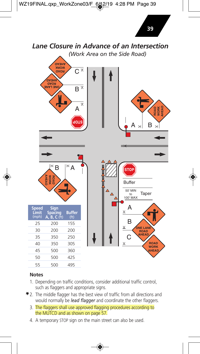

#### **Notes**

55 500 495

- 1. Depending on traffic conditions, consider additional traffic control, such as flaggers and appropriate signs.
- $*$  2. The middle flagger has the best view of traffic from all directions and would normally be *lead flagger* and coordinate the other flaggers.
	- 3. The flaggers shall use approved flagging procedures according to the MUTCD and as shown on page 57.
	- 4. A temporary STOP sign on the main street can also be used.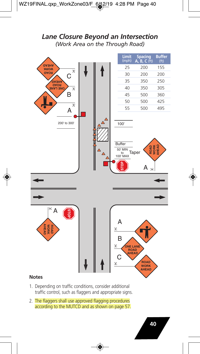### *Lane Closure Beyond an Intersection (Work Area on the Through Road)*



- 1. Depending on traffic conditions, consider additional traffic control, such as flaggers and appropriate signs.
- 2. The flaggers shall use approved flagging procedures according to the MUTCD and as shown on page 57.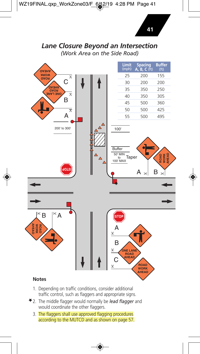### *Lane Closure Beyond an Intersection (Work Area on the Side Road)*



- 1. Depending on traffic conditions, consider additional traffic control, such as flaggers and appropriate signs.
- 2. The middle flagger would normally be *lead flagger* and would coordinate the other flaggers.
	- 3. The flaggers shall use approved flagging procedures according to the MUTCD and as shown on page 57.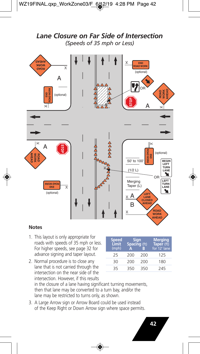### *Lane Closure on Far Side of Intersection (Speeds of 35 mph or Less)*



- 1. This layout is only appropriate for roads with speeds of 35 mph or less. For higher speeds, see page 32 for advance signing and taper layout.
- 2. Normal procedure is to close any lane that is not carried through the intersection on the near side of the intersection. However, if this results in the closure of a lane having significant turning movements, then that lane may be converted to a turn bay, and/or the lane may be restricted to turns only, as shown.
- 3. A Large Arrow sign or Arrow Board could be used instead of the Keep Right or Down Arrow sign where space permits.

|     |     | <b>Merging</b><br>Taper (ft)<br>for 12' lane |
|-----|-----|----------------------------------------------|
| 200 | 200 | 125                                          |
| 200 | 200 | 180                                          |
| 350 | 350 | 245                                          |
|     |     | Sign<br>Spacing (ft)                         |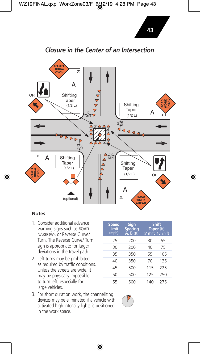



#### **Notes**

- 1. Consider additional advance warning signs such as ROAD NARROWS or Reverse Curve/ Turn. The Reverse Curve/ Turn sign is appropriate for larger deviations in the travel path.
- 2. Left turns may be prohibited as required by traffic conditions. Unless the streets are wide, it may be physically impossible to turn left, especially for large vehicles.

| <b>Speed</b><br>Limit<br>(mph) | Sign<br>Spacing<br>$A, B$ (ft) | Taper (ft)<br>5' shift 10' shift | <b>Shift</b> |
|--------------------------------|--------------------------------|----------------------------------|--------------|
| 25                             | 200                            | 30                               | 55           |
| 30                             | 200                            | 40                               | 75           |
| 35                             | 350                            | 55                               | 105          |
| 40                             | 350                            | 70                               | 135          |
| 45                             | 500                            | 115                              | 225          |
| 50                             | 500                            | 125                              | 250          |
| 55                             | 500                            | 140                              | 275          |

3. For short duration work, the channelizing devices may be eliminated if a vehicle with activated high intensity lights is positioned in the work space.

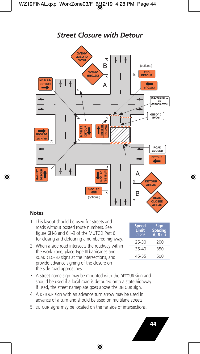## *Street Closure with Detour*



- 1. This layout should be used for streets and roads without posted route numbers. See figure 6H-8 and 6H-9 of the MUTCD Part 6 for closing and detouring a numbered highway.
- 2. When a side road intersects the roadway within the work zone, place Type III barricades and ROAD CLOSED signs at the intersections, and provide advance signing of the closure on the side road approaches.

| Speed<br>Limit<br>(mph) | Sign<br>Spacing<br>A, B (ft) |
|-------------------------|------------------------------|
| 25-30                   | 200                          |
| 35-40                   | 350                          |
| 45-55                   | 500                          |

- 3. A street name sign may be mounted with the DETOUR sign and should be used if a local road is detoured onto a state highway. If used, the street nameplate goes above the DETOUR sign.
- 4. A DETOUR sign with an advance turn arrow may be used in advance of a turn and should be used on multilane streets.
- 5. DETOUR signs may be located on the far side of intersections.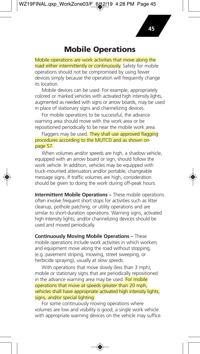### **Mobile Operations**

Mobile operations are work activities that move along the road either intermittently or continuously. Safety for mobile operations should not be compromised by using fewer devices simply because the operation will frequently change its location.

Mobile devices can be used. For example, appropriately colored or marked vehicles with activated high intensity lights, augmented as needed with signs or arrow boards, may be used in place of stationary signs and channelizing devices.

For mobile operations to be successful, the advance warning area should move with the work area or be repositioned periodically to be near the mobile work area.

Flaggers may be used. They shall use approved flagging procedures according to the MUTCD and as shown on page 57.

When volumes and/or speeds are high, a shadow vehicle, equipped with an arrow board or sign, should follow the work vehicle. In addition, vehicles may be equipped with truck-mounted attenuators and/or portable, changeable message signs. If traffic volumes are high, consideration should be given to doing the work during off-peak hours.

**Intermittent Mobile Operations –** These mobile operations often involve frequent short stops for activities such as litter cleanup, pothole patching, or utility operations and are similar to short-duration operations. Warning signs, activated high intensity lights, and/or channelizing devices should be used and moved periodically.

**Continuously Moving Mobile Operations –** These mobile operations include work activities in which workers and equipment move along the road without stopping, (e.g. pavement striping, mowing, street sweeping, or herbicide spraying), usually at slow speeds.

With operations that move slowly (less than 3 mph), mobile or stationary signs that are periodically repositioned in the advance warning area may be used. For mobile operations that move at speeds greater than 20 mph, vehicles shall have appropriate activated high intensity lights, signs, and/or special lighting.

For some continuously moving operations where volumes are low and visibility is good, a single work vehicle with appropriate warning devices on the vehicle may suffice.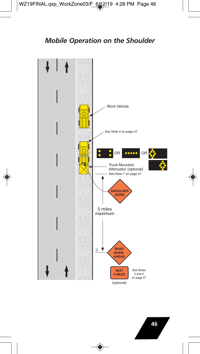### *Mobile Operation on the Shoulder*

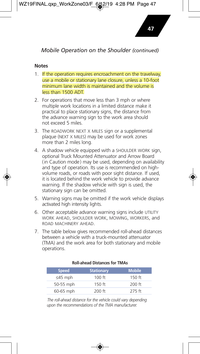### *Mobile Operation on the Shoulder (continued)*

#### **Notes**

- 1. If the operation requires encroachment on the travelway, use a mobile or stationary lane closure, unless a 10-foot minimum lane width is maintained and the volume is less than 1500 ADT.
- 2. For operations that move less than 3 mph or where multiple work locations in a limited distance make it practical to place stationary signs, the distance from the advance warning sign to the work area should not exceed 5 miles.
- 3. The ROADWORK NEXT X MILES sign or a supplemental plaque (NEXT X MILES) may be used for work zones more than 2 miles long.
- 4. A shadow vehicle equipped with a SHOULDER WORK sign, optional Truck Mounted Attenuator and Arrow Board (in Caution mode) may be used, depending on availability and type of operation. Its use is recommended on highvolume roads, or roads with poor sight distance. If used, it is located behind the work vehicle to provide advance warning. If the shadow vehicle with sign is used, the stationary sign can be omitted.
- 5. Warning signs may be omitted if the work vehicle displays activated high intensity lights.
- 6. Other acceptable advance warning signs include UTILITY WORK AHEAD, SHOULDER WORK, MOWING, WORKERS, and ROAD MACHINERY AHEAD.
- 7. The table below gives recommended roll-ahead distances between a vehicle with a truck-mounted attenuator (TMA) and the work area for both stationary and mobile operations.

| <b>Speed</b>  | <b>Stationary</b> | <b>Mobile</b> |
|---------------|-------------------|---------------|
| $\leq$ 45 mph | 100 ft            | $150$ ft      |
| 50-55 mph     | $150$ ft          | $200$ ft      |
| 60-65 mph     | $200$ ft          | 275 ft        |

#### **Roll-ahead Distances for TMAs**

The roll-ahead distance for the vehicle could vary depending *upon the recom mendations of the TMA manufacturer.*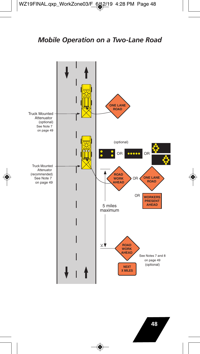## *Mobile Operation on a Two-Lane Road*



**48**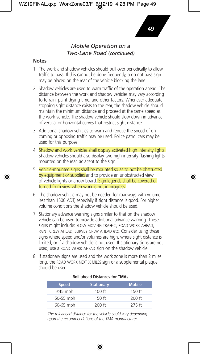#### *Mobile Operation on a Two-Lane Road (continued)*

#### **Notes**

- 1. The work and shadow vehicles should pull over periodically to allow traffic to pass. If this cannot be done frequently, a do not pass sign may be placed on the rear of the vehicle blocking the lane.
- 2. Shadow vehicles are used to warn traffic of the operation ahead. The distance between the work and shadow vehicles may vary according to terrain, paint drying time, and other factors. Whenever adequate stopping sight distance exists to the rear, the shadow vehicle should maintain the minimum distance and proceed at the same speed as the work vehicle. The shadow vehicle should slow down in advance of vertical or horizontal curves that restrict sight distance.
- 3. Additional shadow vehicles to warn and reduce the speed of oncoming or opposing traffic may be used. Police patrol cars may be used for this purpose.
- 4. Shadow and work vehicles shall display activated high intensity lights. Shadow vehicles should also display two high-intensity flashing lights mounted on the rear, adjacent to the sign.
- 5. Vehicle-mounted signs shall be mounted so as to not be obstructed by equipment or supplies and to provide an unobstructed view of vehicle lights or arrow board. Sign legends shall be covered or turned from view when work is not in progress.
- 6. The shadow vehicle may not be needed for roadways with volume less than 1500 ADT, especially if sight distance is good. For higher volume conditions the shadow vehicle should be used.
- 7. Stationary advance warning signs similar to that on the shadow vehicle can be used to provide additional advance warning. These signs might include: SLOW MOVING TRAFFIC, ROAD WORK AHEAD, PAINT CREW AHEAD, SURVEY CREW AHEAD etc. Consider using these signs where speed and/or volumes are high, where sight distance is limited, or if a shadow vehicle is not used. If stationary signs are not used, use a ROAD WORK AHEAD sign on the shadow vehicle.
- 8. If stationary signs are used and the work zone is more than 2 miles long, the ROAD WORK NEXT X MILES sign or a supplemental plaque should be used.

| <b>Speed</b>  | <b>Stationary</b> | <b>Mobile</b> |
|---------------|-------------------|---------------|
| $\leq$ 45 mph | 100 ft            | $150$ ft      |
| 50-55 mph     | $150$ ft          | $200$ ft      |
| 60-65 mph     | $200$ ft          | 275 ft        |

#### **Roll-ahead Distances for TMAs**

The roll-ahead distance for the vehicle could vary depending *upon the recom mendations of the TMA manufacturer.*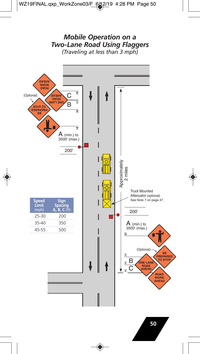### *Mobile Operation on a Two-Lane Road Using Flaggers (Traveling at less than 3 mph)*



**50**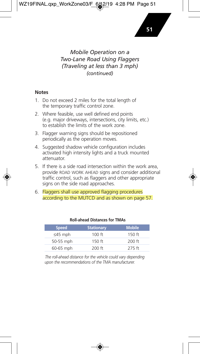#### *Mobile Operation on a Two-Lane Road Using Flaggers (Traveling at less than 3 mph) (continued)*

#### **Notes**

- 1. Do not exceed 2 miles for the total length of the temporary traffic control zone.
- 2. Where feasible, use well defined end points (e.g. major driveways, intersections, city limits, etc.) to establish the limits of the work zone.
- 3. Flagger warning signs should be repositioned periodically as the operation moves.
- 4. Suggested shadow vehicle configuration includes activated high intensity lights and a truck mounted attenuator.
- 5. If there is a side road intersection within the work area, provide ROAD WORK AHEAD signs and consider additional traffic control, such as flaggers and other appropriate signs on the side road approaches.
- 6. Flaggers shall use approved flagging procedures according to the MUTCD and as shown on page 57.

| <b>Speed</b>  | <b>Stationary</b> | <b>Mobile</b> |
|---------------|-------------------|---------------|
| $\leq$ 45 mph | $100$ ft          | $150$ ft      |
| 50-55 mph     | $150$ ft          | $200$ ft      |
| 60-65 mph     | $200$ ft          | $275$ ft      |

#### **Roll-ahead Distances for TMAs**

The roll-ahead distance for the vehicle could vary depending *upon the recom mendations of the TMA manufacturer.*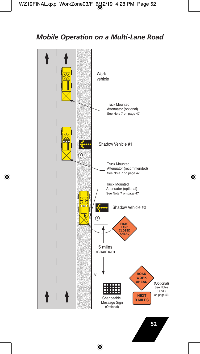## *Mobile Operation on a Multi-Lane Road*

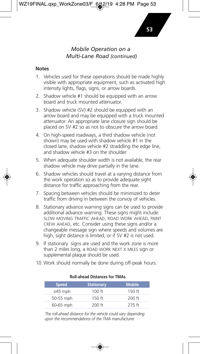### *Mobile Operation on a Multi-Lane Road (continued)*

#### **Notes**

- 1. Vehicles used for these operations should be made highly visible with appropriate equipment, such as activated high intensity lights, flags, signs, or arrow boards.
- 2. Shadow vehicle #1 should be equipped with an arrow board and truck mounted attenuator.
- 3. Shadow vehicle (SV) #2 should be equipped with an arrow board and may be equipped with a truck mounted attenuator. An appropriate lane closure sign should be placed on SV #2 so as not to obscure the arrow board.
- 4. On high-speed roadways, a third shadow vehicle (not shown) may be used with shadow vehicle #1 in the closed lane, shadow vehicle #2 straddling the edge line, and shadow vehicle #3 on the shoulder.
- 5. When adequate shoulder width is not available, the rear shadow vehicle may drive partially in the lane.
- 6. Shadow vehicles should travel at a varying distance from the work operation so as to provide adequate sight distance for traffic approaching from the rear.
- 7. Spacing between vehicles should be minimized to deter traffic from driving in between the convoy of vehicles.
- 8. Stationary advance warning signs can be used to provide additional advance warning. These signs might include: SLOW MOVING TRAFFIC AHEAD, ROAD WORK AHEAD, PAINT CREW AHEAD, etc. Consider using these signs and/or a changeable message sign where speeds and volumes are high, sight distance is limited, or if SV #2 is not used.
- 9. If stationary signs are used and the work zone is more than 2 miles long, a ROAD WORK NEXT X MILES sign or supplemental plaque should be used.
- 10. Work should normally be done during off-peak hours.

| <b>Speed</b>  | <b>Stationary</b> | <b>Mobile</b> |
|---------------|-------------------|---------------|
| $\leq$ 45 mph | $100$ ft          | $150$ ft      |
| 50-55 mph     | $150$ ft          | $200$ ft      |
| 60-65 mph     | $200$ ft          | $275$ ft      |

#### **Roll-ahead Distances for TMAs**

The roll-ahead distance for the vehicle could vary depending *upon the recom mendations of the TMA manufacturer.*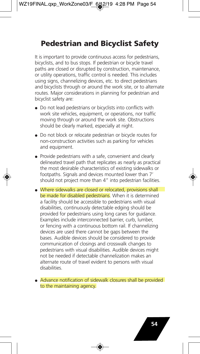# **Pedestrian and Bicyclist Safety**

It is important to provide continuous access for pedestrians, bicyclists, and to bus stops. If pedestrian or bicycle travel paths are closed or disrupted by construction, maintenance, or utility operations, traffic control is needed. This includes using signs, channelizing devices, etc. to direct pedestrians and bicyclists through or around the work site, or to alternate routes. Major considerations in planning for pedestrian and bicyclist safety are:

- Do not lead pedestrians or bicyclists into conflicts with work site vehicles, equipment, or operations, nor traffic moving through or around the work site. Obstructions should be clearly marked, especially at night.
- Do not block or relocate pedestrian or bicycle routes for non-construction activities such as parking for vehicles and equipment.
- Provide pedestrians with a safe, convenient and clearly delineated travel path that replicates as nearly as practical the most desirable characteristics of existing sidewalks or footpaths. Signals and devices mounted lower than 7' should not project more than 4" into pedestrian facilities.
- Where sidewalks are closed or relocated, provisions shall be made for disabled pedestrians. When it is determined a facility should be accessible to pedestrians with visual disabilities, continuously detectable edging should be provided for pedestrians using long canes for guidance. Examples include interconnected barrier, curb, lumber, or fencing with a continuous bottom rail. If channelizing devices are used there cannot be gaps between the bases. Audible devices should be considered to provide communication of closings and crosswalk changes to pedestrians with visual disabilities. Audible devices might not be needed if detectable channelization makes an alternate route of travel evident to persons with visual disabilities.
- Advance notification of sidewalk closures shall be provided to the maintaining agency.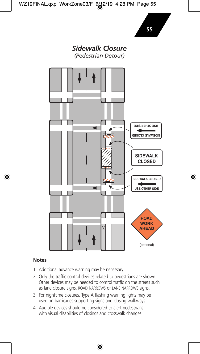

- 1. Additional advance warning may be necessary.
- 2. Only the traffic control devices related to pedestrians are shown. Other devices may be needed to control traffic on the streets such as lane closure signs, ROAD NARROWS or LANE NARROWS signs.
- 3. For nighttime closures, Type A flashing warning lights may be used on barricades supporting signs and closing walkways.
- 4. Audible devices should be considered to alert pedestrians with visual disabilities of closings and crosswalk changes.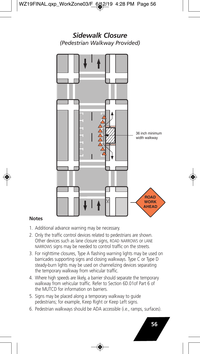

- 1. Additional advance warning may be necessary.
- 2. Only the traffic control devices related to pedestrians are shown. Other devices such as lane closure signs, ROAD NARROWS or LANE NARROWS signs may be needed to control traffic on the streets.
- 3. For nighttime closures, Type A flashing warning lights may be used on barricades supporting signs and closing walkways. Type C or Type D steady-burn lights may be used on channelizing devices separating the temporary walkway from vehicular traffic.
- 4. Where high speeds are likely, a barrier should separate the temporary walkway from vehicular traffic. Refer to Section 6D.01of Part 6 of the MUTCD for information on barriers.
- 5. Signs may be placed along a temporary walkway to guide pedestrians; for example, Keep Right or Keep Left signs.
- 6. Pedestrian walkways should be ADA accessible (i.e., ramps, surfaces).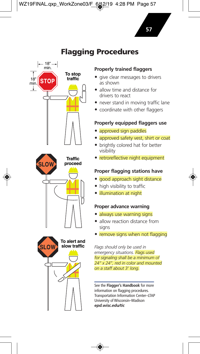# **Flagging Procedures**



#### **Properly trained flaggers**

- give clear messages to drivers as shown
- allow time and distance for drivers to react
- never stand in moving traffic lane
- coordinate with other flaggers

#### **Properly equipped flaggers use**

- approved sign paddles
- approved safety vest, shirt or coat
- brightly colored hat for better visibility
- retroreflective night equipment

#### **Proper flagging stations have**

- good approach sight distance
- high visibility to traffic
- illumination at night

#### **Proper advance warning**

- always use warning signs
- allow reaction distance from signs
- remove signs when not flagging

*Flags should only be used in emergency situations. Flags used for signaling shall be a minimum of 24" x 24", red in color and mounted on a staff about 3' long.*

See the **Flagger's Handbook** for more information on flagging procedures. Transportation Information Center–LTAP University of Wisconsin–Madison *epd.wisc.edu/tic*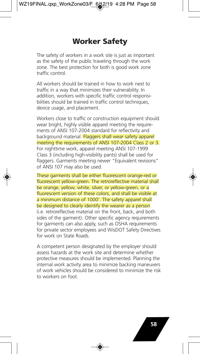# **Worker Safety**

The safety of workers in a work site is just as important as the safety of the public traveling through the work zone. The best protection for both is good work zone traffic control.

All workers should be trained in how to work next to traffic in a way that minimizes their vulnerability. In addition, workers with specific traffic control responsibilities should be trained in traffic control techniques. device usage, and placement.

Workers close to traffic or construction equipment should wear bright, highly visible apparel meeting the requirements of ANSI 107-2004 standard for reflectivity and background material. Flaggers shall wear safety apparel meeting the requirements of ANSI 107-2004 Class 2 or 3. For nighttime work, apparel meeting ANSI 107-1999 Class 3 (including high-visibility pants) shall be used for flaggers. Garments meeting newer "Equivalent revisions" of ANSI 107 may also be used.

These garments shall be either fluorescent orange-red or fluorescent yellow-green. The retroreflective material shall be orange, yellow, white, silver, or yellow-green, or a fluorescent version of these colors, and shall be visible at a minimum distance of 1000'. The safety apparel shall be designed to clearly identify the wearer as a person (i.e. retroreflective material on the front, back, and both sides of the garment). Other specific agency requirements for garments can also apply, such as OSHA requirements for private sector employees and WisDOT Safety Directives for work on State Roads.

A competent person designated by the employer should assess hazards at the work site and determine whether protective measures should be implemented. Planning the internal work activity area to minimize backing maneuvers of work vehicles should be considered to minimize the risk to workers on foot.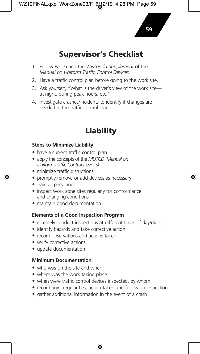# **Supervisor's Checklist**

- 1. Follow Part 6 and the *Wisconsin Supplement* of the *Manual on Uniform Traffic Control Devices.*
- 2. Have a traffic control plan before going to the work site.
- 3. Ask yourself, "What is the driver's view of the work site at night, during peak hours, etc."
- 4. Investigate crashes/incidents to identify if changes are needed in the traffic control plan.

# **Liability**

#### **Steps to Minimize Liability**

- have a current traffic control plan
- apply the concepts of the *MUTCD (Manual on Uniform Traffic Control Devices)*
- minimize traffic disruptions
- promptly remove or add devices as necessary
- train all personnel
- inspect work zone sites regularly for conformance and changing conditions
- maintain good documentation

#### **Elements of a Good Inspection Program**

- routinely conduct inspections at different times of day/night
- identify hazards and take corrective action
- record observations and actions taken
- verify corrective actions
- update documentation

#### **Minimum Documentation**

- who was on the site and when
- where was the work taking place
- when were traffic control devices inspected, by whom
- record any irregularities, action taken and follow up inspection
- gather additional information in the event of a crash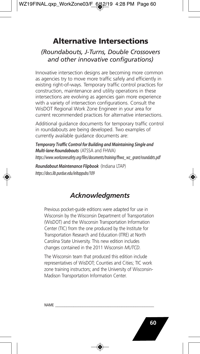# **Alternative Intersections**

### *(Roundabouts, J-Turns, Double Crossovers and other innovative configurations)*

Innovative intersection designs are becoming more common as agencies try to move more traffic safely and efficiently in existing right-of-ways. Temporary traffic control practices for construction, maintenance and utility operations in these intersections are evolving as agencies gain more experience with a variety of intersection configurations. Consult the WisDOT Regional Work Zone Engineer in your area for current recommended practices for alternative intersections.

Additional guidance documents for temporary traffic control in roundabouts are being developed. Two examples of currently available guidance documents are:

*Temporary Traffic Control for Building and Maintaining Single and Multi-lane Roundabouts* (ATSSA and FHWA) *https://www.workzonesafety.org/files/documents/training/fhwa\_wz\_grant/roundabts.pdf*

*Roundabout Maintenance Flipbook* (Indiana LTAP) *https://docs.lib.purdue.edu/inltappubs/109*

# *Acknowledgments*

Previous pocket-guide editions were adapted for use in Wisconsin by the Wisconsin Department of Transportation (WisDOT) and the Wisconsin Transportation Information Center (TIC) from the one produced by the Institute for Transportation Research and Education (ITRE) at North Carolina State University. This new edition includes changes contained in the 2011 Wisconsin *MUTCD*.

The Wisconsin team that produced this edition include representatives of WisDOT; Counties and Cities; TIC work zone training instructors; and the University of Wisconsin-Madison Transportation Information Center.